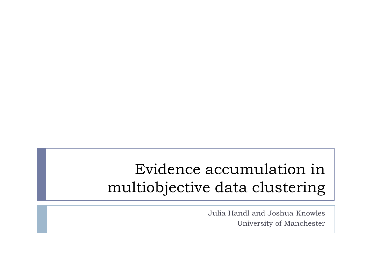# Evidence accumulation in multiobjective data clustering

Julia Handl and Joshua Knowles University of Manchester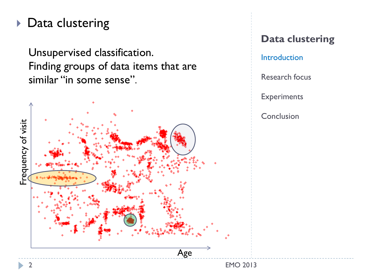## ▶ Data clustering

Unsupervised classification. Finding groups of data items that are similar "in some sense".



## **Data clustering**

Introduction

Research focus

**Experiments**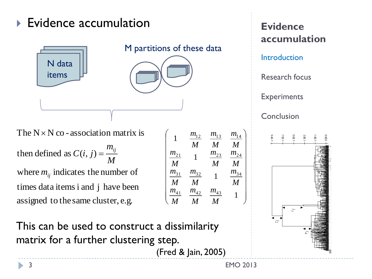## ▶ Evidence accumulation



The  $N \times N$  co - association matrix is

assigned to the same cluster, e.g. times data items i and j have been where  $m_{ij}$  indicates the number of then defined as  $C(i, j) = \frac{m_{ij}}{l}$ *M m*  $C(i, j) =$ 

This can be used to construct a dissimilarity matrix for a further clustering step.

(Fred & Jain, 2005)

 $\overline{\phantom{a}}$  $\mathsf{L}$  $\mathbf{r}$  $\mathbf{r}$  $\mathbf{r}$  $\mathbf{r}$  $\mathbf{r}$  $\mathbf{r}$  $\overline{\phantom{a}}$ 

 $\bigg($ 

1

 $\setminus$ 

*M*

*m*

*m*

*m*

*M*

*M*

**Evidence accumulation** Introduction Research focus Experiments Conclusion



 $\overline{\phantom{a}}$  $\overline{\phantom{a}}$  $\overline{\phantom{a}}$  $\overline{\phantom{a}}$  $\overline{\phantom{a}}$  $\overline{\phantom{a}}$  $\overline{\phantom{a}}$  $\overline{\phantom{a}}$  $\overline{\phantom{a}}$ 

1

*M*

*m*

*m*

*m*

*M*

*M*

 $m_{12}$   $m_{13}$   $m_{14}$ 

 $\frac{31}{2}$   $\frac{m_{32}}{25}$  1  $\frac{m_{34}}{25}$ 

*M*

*m*

*M*

*m*

*m*

*M*

 $\frac{41}{4}$   $\frac{m_{42}}{4}$   $\frac{m_{43}}{4}$ 

*M*

*m*

*m*

*M*

*m*

*M*

 $\frac{21}{2}$  1  $\frac{m_{23}}{25}$   $\frac{m_{24}}{25}$ 

 $\int$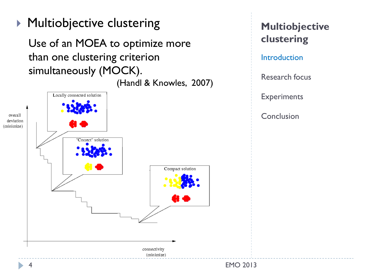**Multiobjective clustering** 

Use of an MOEA to optimize more than one clustering criterion simultaneously (MOCK).

(Handl & Knowles, 2007)



**Multiobjective clustering**

**Introduction** 

Research focus

**Experiments**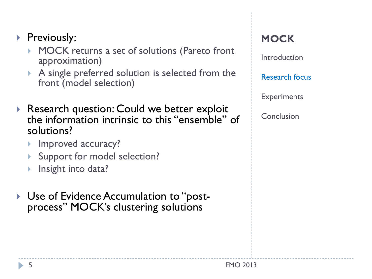## Previously:

- MOCK returns a set of solutions (Pareto front approximation)
- A single preferred solution is selected from the front (model selection)
- Research question: Could we better exploit the information intrinsic to this "ensemble" of solutions?
	- Improved accuracy?
	- Support for model selection?
	- Insight into data?
- ▶ Use of Evidence Accumulation to "postprocess" MOCK's clustering solutions

### **MOCK**

Introduction

Research focus

**Experiments**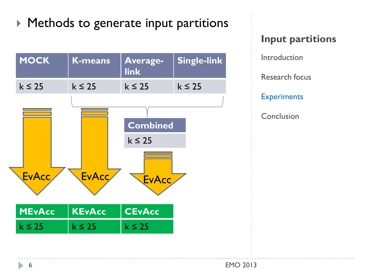# **Methods to generate input partitions**



**Input partitions** Introduction Research focus **Experiments Conclusion**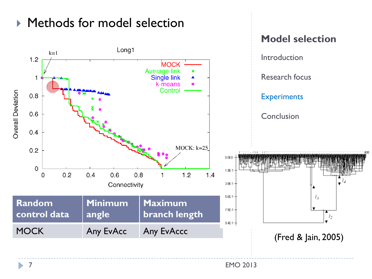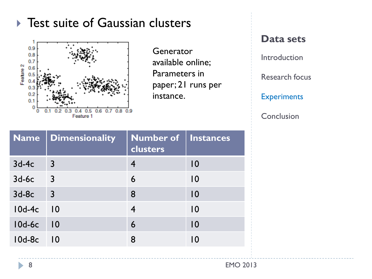## ▶ Test suite of Gaussian clusters



**Generator** available online; Parameters in paper; 21 runs per instance.

#### **Data sets**

Introduction

Research focus

**Experiments** 

|               | Name   Dimensionality    | Number of Instances<br>clusters |                 |
|---------------|--------------------------|---------------------------------|-----------------|
| $3d-4c$       | $\overline{3}$           |                                 | $\overline{10}$ |
| $3d-6c$       | $\overline{\phantom{a}}$ | 6                               | $\overline{10}$ |
| $3d-8c$       | $\overline{3}$           | 8                               | 10              |
| $10d-4c$ $10$ |                          | $\overline{4}$                  | 10              |
| $10d-6c$      | $\overline{10}$          | $\overline{6}$                  | $\overline{10}$ |
| 10d-8c        | $\overline{10}$          | 8                               | $\overline{10}$ |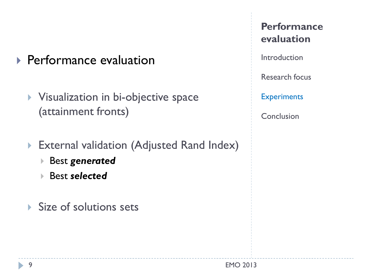- ▶ Performance evaluation
	- **Visualization in bi-objective space** (attainment fronts)
	- External validation (Adjusted Rand Index)
		- Best *generated*
		- Best *selected*
	- Size of solutions sets

**Performance evaluation**

Introduction

Research focus

**Experiments**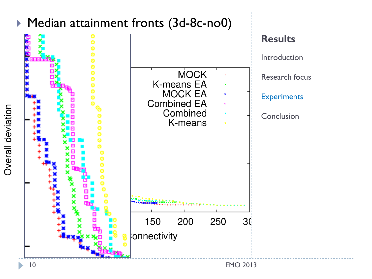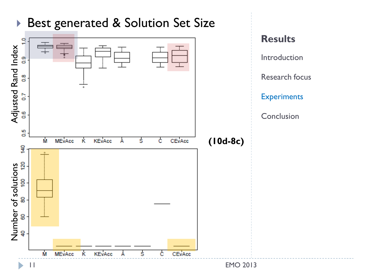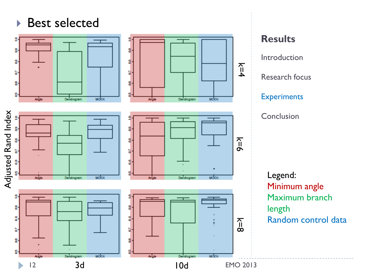## ▶ Best selected

å,

ክ

S

8

b



Dendroomm

MOON



Dandrogram

**MOCK** 

**Results** Introduction Research focus **Experiments Conclusion** Legend:

 $k=4$ 

**k=6** 

Minimum angle Maximum branch length Random control data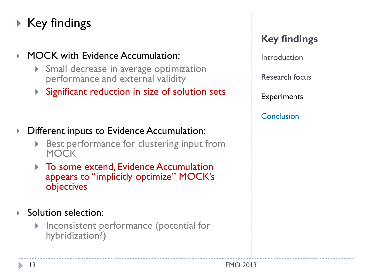# $\triangleright$  Key findings

### **MOCK with Evidence Accumulation:**

- Small decrease in average optimization performance and external validity
- Significant reduction in size of solution sets

- ▶ Different inputs to Evidence Accumulation:
	- Best performance for clustering input from **MOCK**
	- ▶ To some extend, Evidence Accumulation appears to "implicitly optimize" MOCK's objectives

#### Solution selection:

**Inconsistent performance (potential for** hybridization?)

### **Key findings**

Introduction

Research focus

**Experiments**